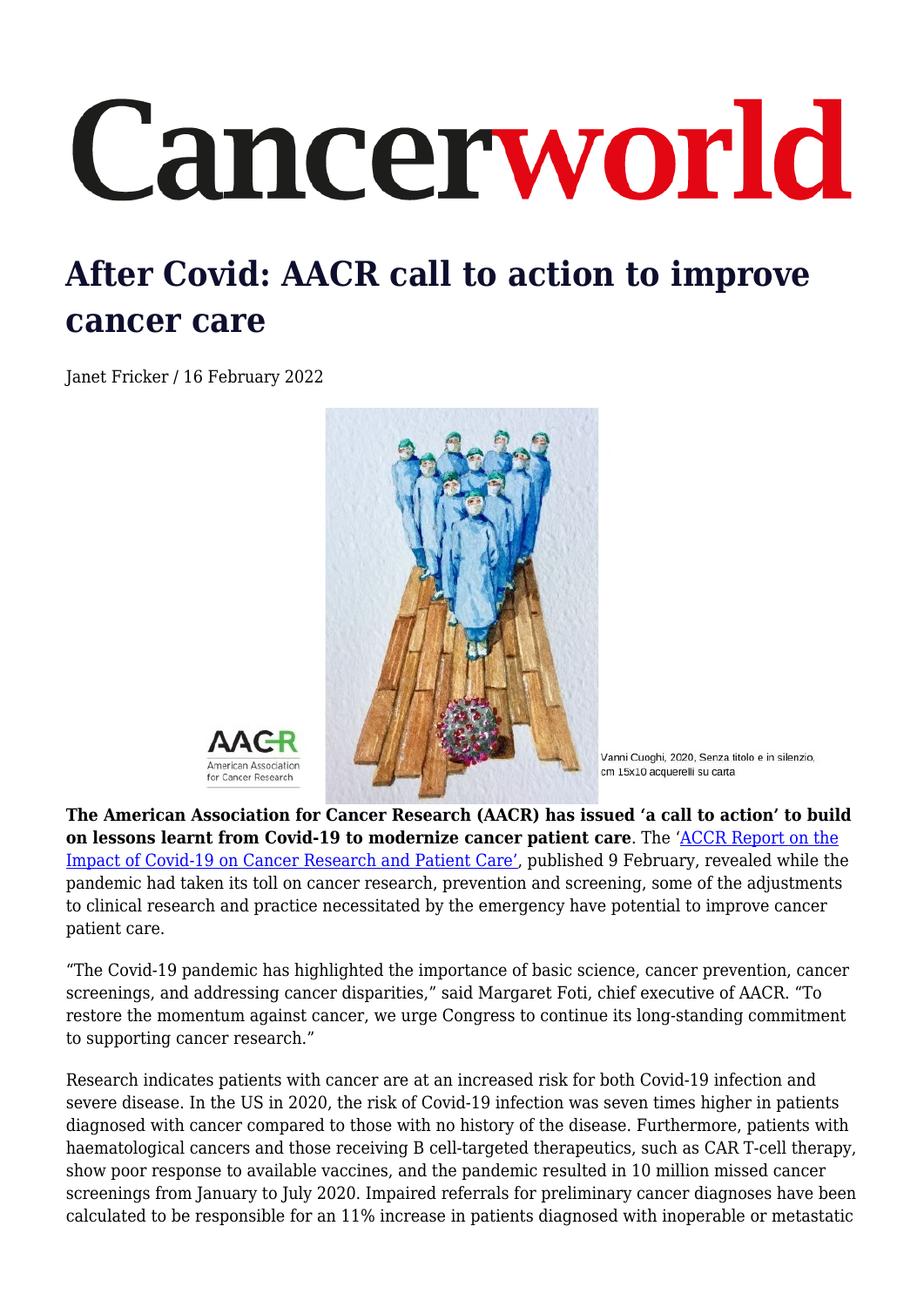## Cancerworld

## **After Covid: AACR call to action to improve cancer care**

Janet Fricker / 16 February 2022





Vanni Cuoghi, 2020, Senza titolo e in silenzio, cm 15x10 acquerelli su carta

**The American Association for Cancer Research (AACR) has issued 'a call to action' to build on lessons learnt from Covid-19 to modernize cancer patient care**. The ['ACCR Report on the](https://www.aacr.org/professionals/research/aacr-covid-19-and-cancer-report-2022/aacr-covid-19-and-cancer-report-get-a-copy/) [Impact of Covid-19 on Cancer Research and Patient Care',](https://www.aacr.org/professionals/research/aacr-covid-19-and-cancer-report-2022/aacr-covid-19-and-cancer-report-get-a-copy/) published 9 February, revealed while the pandemic had taken its toll on cancer research, prevention and screening, some of the adjustments to clinical research and practice necessitated by the emergency have potential to improve cancer patient care.

"The Covid-19 pandemic has highlighted the importance of basic science, cancer prevention, cancer screenings, and addressing cancer disparities," said Margaret Foti, chief executive of AACR. "To restore the momentum against cancer, we urge Congress to continue its long-standing commitment to supporting cancer research."

Research indicates patients with cancer are at an increased risk for both Covid-19 infection and severe disease. In the US in 2020, the risk of Covid-19 infection was seven times higher in patients diagnosed with cancer compared to those with no history of the disease. Furthermore, patients with haematological cancers and those receiving B cell-targeted therapeutics, such as CAR T-cell therapy, show poor response to available vaccines, and the pandemic resulted in 10 million missed cancer screenings from January to July 2020. Impaired referrals for preliminary cancer diagnoses have been calculated to be responsible for an 11% increase in patients diagnosed with inoperable or metastatic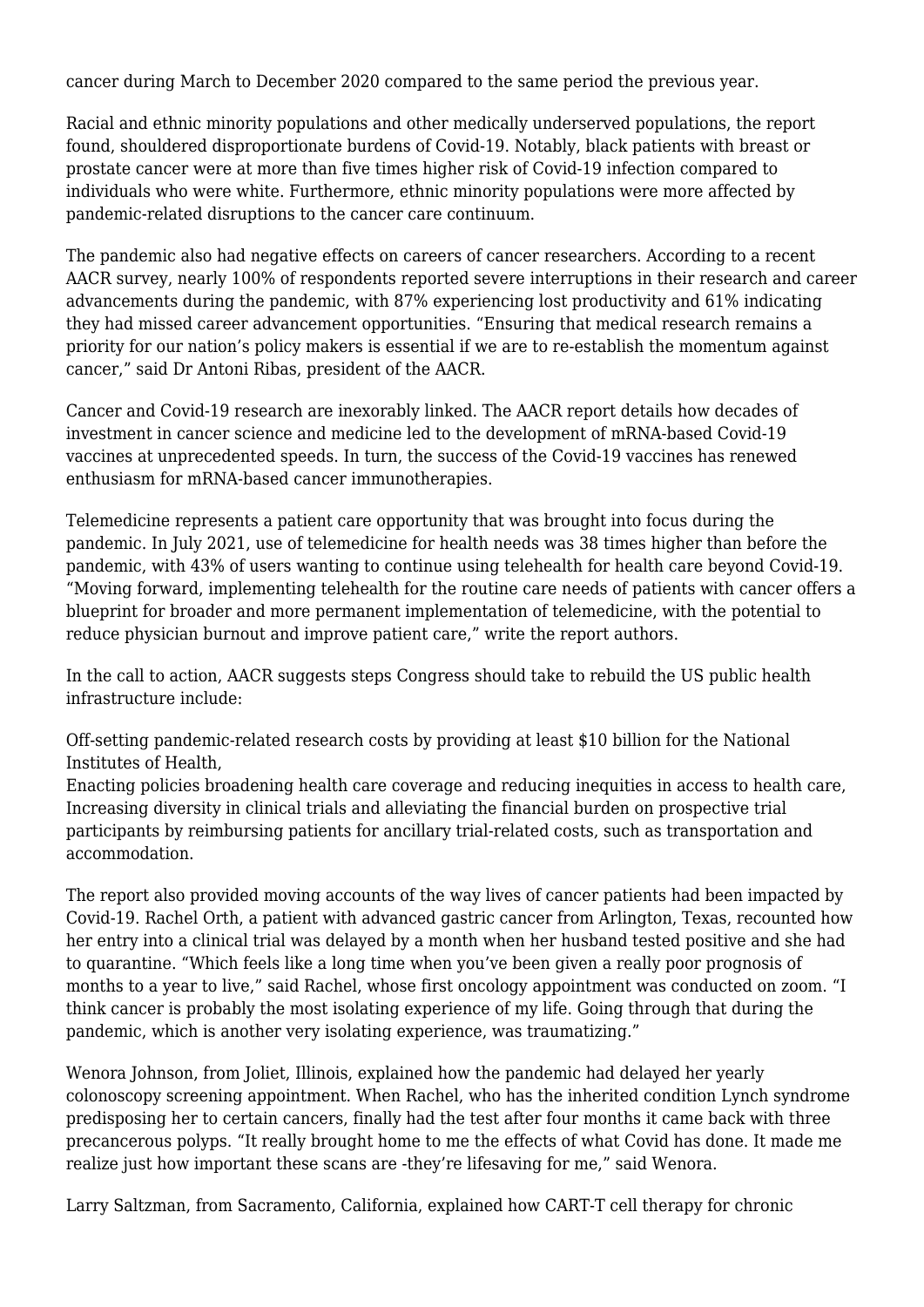cancer during March to December 2020 compared to the same period the previous year.

Racial and ethnic minority populations and other medically underserved populations, the report found, shouldered disproportionate burdens of Covid-19. Notably, black patients with breast or prostate cancer were at more than five times higher risk of Covid-19 infection compared to individuals who were white. Furthermore, ethnic minority populations were more affected by pandemic-related disruptions to the cancer care continuum.

The pandemic also had negative effects on careers of cancer researchers. According to a recent AACR survey, nearly 100% of respondents reported severe interruptions in their research and career advancements during the pandemic, with 87% experiencing lost productivity and 61% indicating they had missed career advancement opportunities. "Ensuring that medical research remains a priority for our nation's policy makers is essential if we are to re-establish the momentum against cancer," said Dr Antoni Ribas, president of the AACR.

Cancer and Covid-19 research are inexorably linked. The AACR report details how decades of investment in cancer science and medicine led to the development of mRNA-based Covid-19 vaccines at unprecedented speeds. In turn, the success of the Covid-19 vaccines has renewed enthusiasm for mRNA-based cancer immunotherapies.

Telemedicine represents a patient care opportunity that was brought into focus during the pandemic. In July 2021, use of telemedicine for health needs was 38 times higher than before the pandemic, with 43% of users wanting to continue using telehealth for health care beyond Covid-19. "Moving forward, implementing telehealth for the routine care needs of patients with cancer offers a blueprint for broader and more permanent implementation of telemedicine, with the potential to reduce physician burnout and improve patient care," write the report authors.

In the call to action, AACR suggests steps Congress should take to rebuild the US public health infrastructure include:

Off-setting pandemic-related research costs by providing at least \$10 billion for the National Institutes of Health,

Enacting policies broadening health care coverage and reducing inequities in access to health care, Increasing diversity in clinical trials and alleviating the financial burden on prospective trial participants by reimbursing patients for ancillary trial-related costs, such as transportation and accommodation.

The report also provided moving accounts of the way lives of cancer patients had been impacted by Covid-19. Rachel Orth, a patient with advanced gastric cancer from Arlington, Texas, recounted how her entry into a clinical trial was delayed by a month when her husband tested positive and she had to quarantine. "Which feels like a long time when you've been given a really poor prognosis of months to a year to live," said Rachel, whose first oncology appointment was conducted on zoom. "I think cancer is probably the most isolating experience of my life. Going through that during the pandemic, which is another very isolating experience, was traumatizing."

Wenora Johnson, from Joliet, Illinois, explained how the pandemic had delayed her yearly colonoscopy screening appointment. When Rachel, who has the inherited condition Lynch syndrome predisposing her to certain cancers, finally had the test after four months it came back with three precancerous polyps. "It really brought home to me the effects of what Covid has done. It made me realize just how important these scans are -they're lifesaving for me," said Wenora.

Larry Saltzman, from Sacramento, California, explained how CART-T cell therapy for chronic